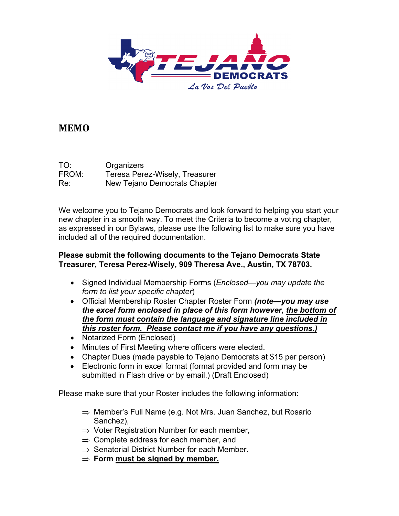

## **MEMO**

| TO:   | Organizers                     |
|-------|--------------------------------|
| FROM: | Teresa Perez-Wisely, Treasurer |
| Re:   | New Tejano Democrats Chapter   |

We welcome you to Tejano Democrats and look forward to helping you start your new chapter in a smooth way. To meet the Criteria to become a voting chapter, as expressed in our Bylaws, please use the following list to make sure you have included all of the required documentation.

## **Please submit the following documents to the Tejano Democrats State Treasurer, Teresa Perez-Wisely, 909 Theresa Ave., Austin, TX 78703.**

- Signed Individual Membership Forms (*Enclosed—you may update the form to list your specific chapter*)
- Official Membership Roster Chapter Roster Form *(note—you may use the excel form enclosed in place of this form however, the bottom of the form must contain the language and signature line included in this roster form. Please contact me if you have any questions.)*
- Notarized Form (Enclosed)
- Minutes of First Meeting where officers were elected.
- Chapter Dues (made payable to Tejano Democrats at \$15 per person)
- Electronic form in excel format (format provided and form may be submitted in Flash drive or by email.) (Draft Enclosed)

Please make sure that your Roster includes the following information:

- ⇒ Member's Full Name (e.g. Not Mrs. Juan Sanchez, but Rosario Sanchez),
- $\Rightarrow$  Voter Registration Number for each member,
- $\Rightarrow$  Complete address for each member, and
- $\Rightarrow$  Senatorial District Number for each Member.
- ⇒ **Form must be signed by member.**